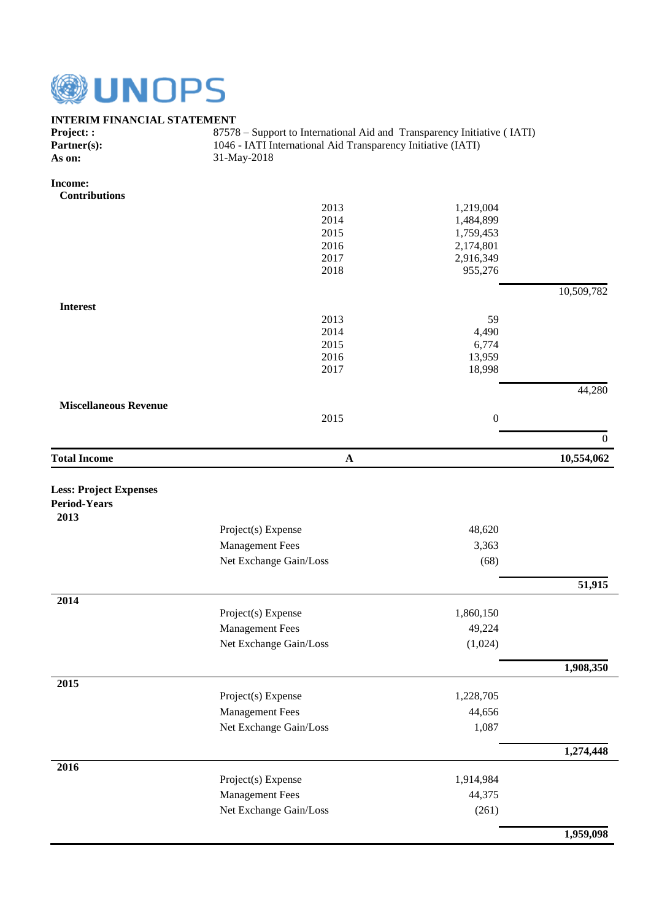

## **INTERIM FINANCIAL STATEMENT**

| <b>Project: :</b> | 87578 – Support to International Aid and Transparency Initiative (IATI) |
|-------------------|-------------------------------------------------------------------------|
| Partner(s):       | 1046 - IATI International Aid Transparency Initiative (IATI)            |
| As on:            | 31-May-2018                                                             |

**Income:**

| <b>Contributions</b>          |                        |                  |                  |
|-------------------------------|------------------------|------------------|------------------|
|                               | 2013                   | 1,219,004        |                  |
|                               | 2014                   | 1,484,899        |                  |
|                               | 2015                   | 1,759,453        |                  |
|                               | 2016                   | 2,174,801        |                  |
|                               | 2017                   | 2,916,349        |                  |
|                               | 2018                   | 955,276          |                  |
|                               |                        |                  | 10,509,782       |
| <b>Interest</b>               |                        |                  |                  |
|                               | 2013                   | 59               |                  |
|                               | 2014                   | 4,490            |                  |
|                               | 2015                   | 6,774            |                  |
|                               | 2016                   | 13,959           |                  |
|                               | 2017                   | 18,998           |                  |
|                               |                        |                  | 44,280           |
| <b>Miscellaneous Revenue</b>  |                        |                  |                  |
|                               | 2015                   | $\boldsymbol{0}$ |                  |
|                               |                        |                  | $\boldsymbol{0}$ |
| <b>Total Income</b>           | $\mathbf{A}$           |                  | 10,554,062       |
|                               |                        |                  |                  |
| <b>Less: Project Expenses</b> |                        |                  |                  |
| <b>Period-Years</b>           |                        |                  |                  |
| 2013                          |                        |                  |                  |
|                               | Project(s) Expense     | 48,620           |                  |
|                               | <b>Management Fees</b> | 3,363            |                  |
|                               | Net Exchange Gain/Loss | (68)             |                  |
|                               |                        |                  |                  |
|                               |                        |                  | 51,915           |
| 2014                          | Project(s) Expense     | 1,860,150        |                  |
|                               | <b>Management Fees</b> | 49,224           |                  |
|                               |                        |                  |                  |
|                               | Net Exchange Gain/Loss | (1,024)          |                  |
|                               |                        |                  | 1,908,350        |
| 2015                          | Project(s) Expense     | 1,228,705        |                  |
|                               |                        |                  |                  |
|                               | <b>Management Fees</b> | 44,656           |                  |
|                               | Net Exchange Gain/Loss | 1,087            |                  |
|                               |                        |                  | 1,274,448        |
| 2016                          |                        |                  |                  |
|                               | Project(s) Expense     | 1,914,984        |                  |
|                               | <b>Management Fees</b> | 44,375           |                  |
|                               | Net Exchange Gain/Loss | (261)            |                  |
|                               |                        |                  | 1,959,098        |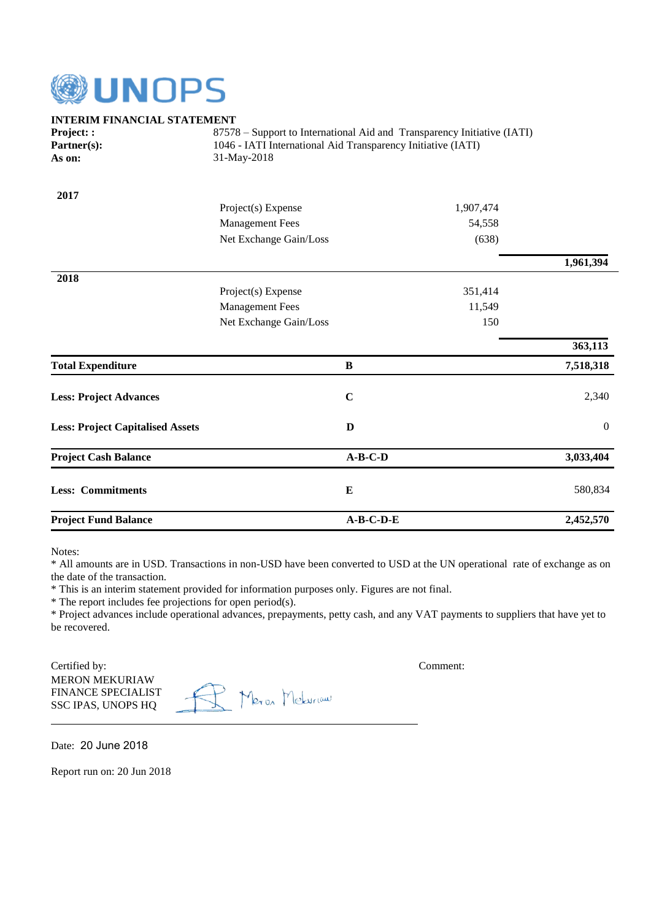

| <b>INTERIM FINANCIAL STATEMENT</b>      |                                                                             |             |           |                  |  |
|-----------------------------------------|-----------------------------------------------------------------------------|-------------|-----------|------------------|--|
| Project::                               | 87578 – Support to International Aid and Transparency Initiative (IATI)     |             |           |                  |  |
| Partner(s):                             | 1046 - IATI International Aid Transparency Initiative (IATI)<br>31-May-2018 |             |           |                  |  |
| As on:                                  |                                                                             |             |           |                  |  |
| 2017                                    |                                                                             |             |           |                  |  |
|                                         | Project(s) Expense                                                          |             | 1,907,474 |                  |  |
|                                         | <b>Management Fees</b>                                                      |             | 54,558    |                  |  |
|                                         | Net Exchange Gain/Loss                                                      |             | (638)     |                  |  |
|                                         |                                                                             |             |           | 1,961,394        |  |
| 2018                                    | Project(s) Expense                                                          |             | 351,414   |                  |  |
|                                         | <b>Management Fees</b>                                                      |             | 11,549    |                  |  |
|                                         | Net Exchange Gain/Loss                                                      |             | 150       |                  |  |
|                                         |                                                                             |             |           |                  |  |
|                                         |                                                                             |             |           | 363,113          |  |
| <b>Total Expenditure</b>                |                                                                             | B           |           | 7,518,318        |  |
| <b>Less: Project Advances</b>           |                                                                             | $\mathbf C$ |           | 2,340            |  |
| <b>Less: Project Capitalised Assets</b> |                                                                             | D           |           | $\boldsymbol{0}$ |  |
| <b>Project Cash Balance</b>             |                                                                             | $A-B-C-D$   |           | 3,033,404        |  |
| <b>Less: Commitments</b>                |                                                                             | $\bf{E}$    |           | 580,834          |  |
| <b>Project Fund Balance</b>             |                                                                             | $A-B-C-D-E$ |           | 2,452,570        |  |

Notes:

\* All amounts are in USD. Transactions in non-USD have been converted to USD at the UN operational rate of exchange as on the date of the transaction.

\* This is an interim statement provided for information purposes only. Figures are not final.

\* The report includes fee projections for open period(s).

\* Project advances include operational advances, prepayments, petty cash, and any VAT payments to suppliers that have yet to be recovered.

Certified by: Comment: MERON MEKURIAW FINANCE SPECIALIST SSC IPAS, UNOPS HQ

R Meron Meksinans

Date: 20 June 2018

Report run on: 20 Jun 2018